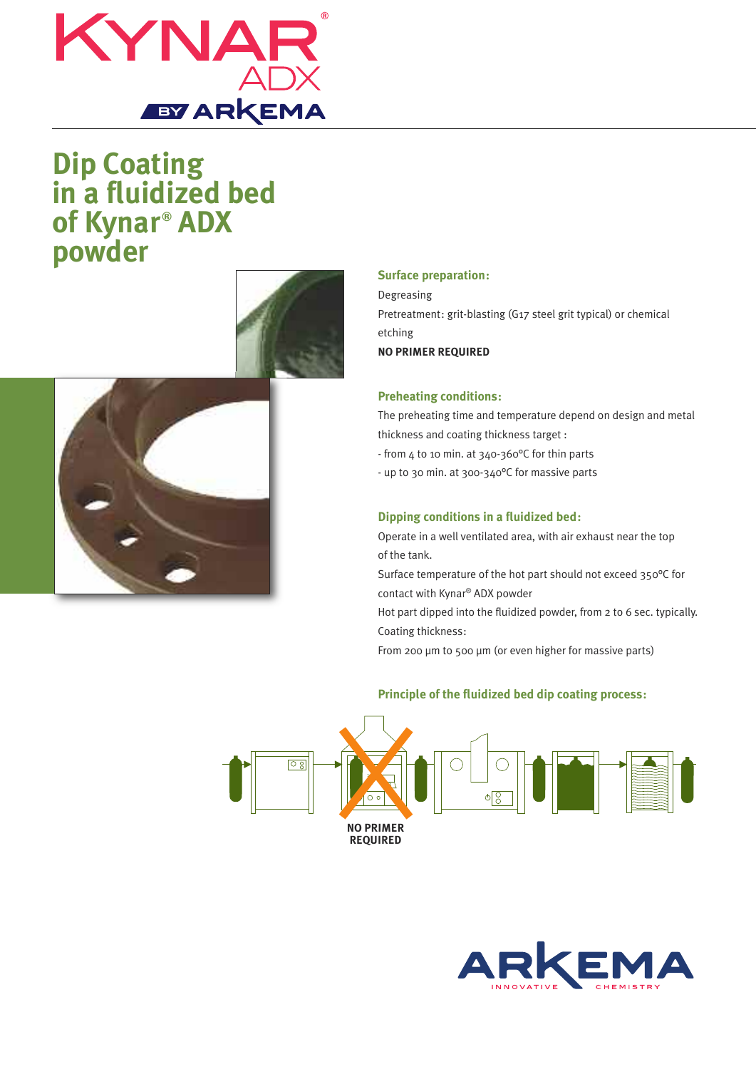

# **Dip Coating in a fluidized bed of Kynar ® ADX powder**





## **Surface preparation:**

Degreasing Pretreatment: grit-blasting (G17 steel grit typical) or chemical etching **NO PRIMER REQUIRED**

## **Preheating conditions:**

The preheating time and temperature depend on design and metal thickness and coating thickness target :

- from 4 to 10 min. at 340-360°C for thin parts

- up to 30 min. at 300-340°C for massive parts

## **Dipping conditions in a fluidized bed:**

Operate in a well ventilated area, with air exhaust near the top of the tank.

Surface temperature of the hot part should not exceed 350°C for contact with Kynar® ADX powder

Hot part dipped into the fluidized powder, from 2 to 6 sec. typically. Coating thickness:

From 200 µm to 500 µm (or even higher for massive parts)

## **Principle of the fluidized bed dip coating process:**



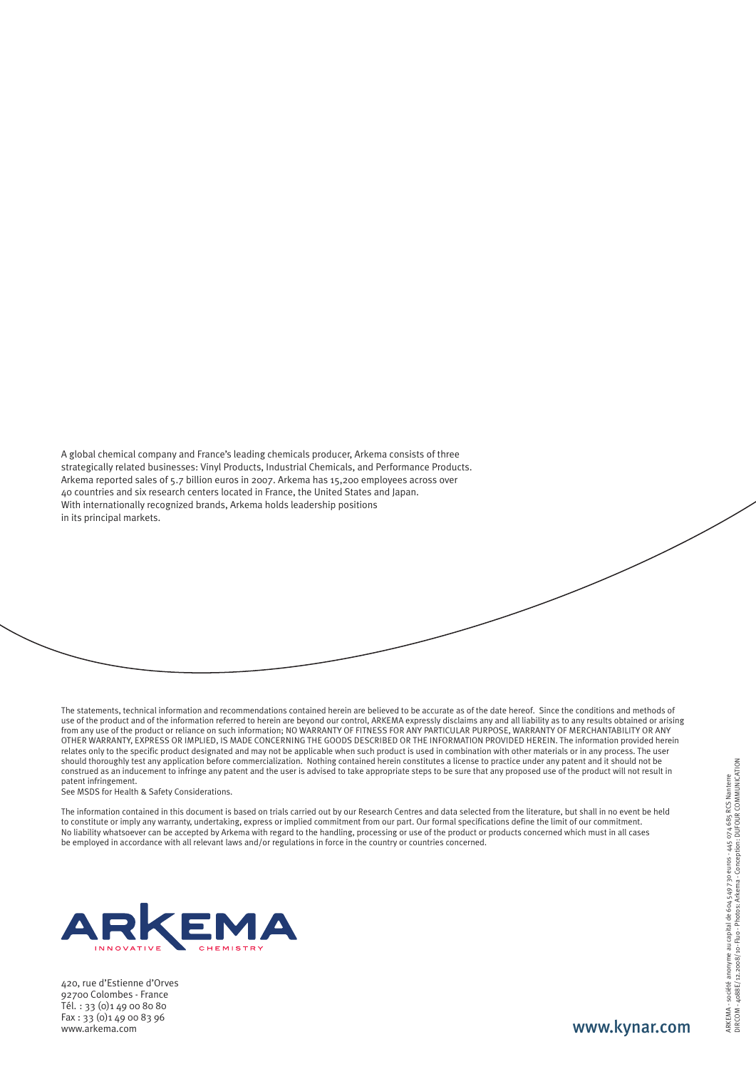A global chemical company and France's leading chemicals producer, Arkema consists of three strategically related businesses: Vinyl Products, Industrial Chemicals, and Performance Products. Arkema reported sales of 5.7 billion euros in 2007. Arkema has 15,200 employees across over 40 countries and six research centers located in France, the United States and Japan. With internationally recognized brands, Arkema holds leadership positions in its principal markets.

The statements, technical information and recommendations contained herein are believed to be accurate as of the date hereof. Since the conditions and methods of use of the product and of the information referred to herein are beyond our control, ARKEMA expressly disclaims any and all liability as to any results obtained or arising from any use of the product or reliance on such information; NO WARRANTY OF FITNESS FOR ANY PARTICULAR PURPOSE, WARRANTY OF MERCHANTABILITY OR ANY OTHER WARRANTY, EXPRESS OR IMPLIED, IS MADE CONCERNING THE GOODS DESCRIBED OR THE INFORMATION PROVIDED HEREIN. The information provided herein relates only to the specific product designated and may not be applicable when such product is used in combination with other materials or in any process. The user should thoroughly test any application before commercialization. Nothing contained herein constitutes a license to practice under any patent and it should not be construed as an inducement to infringe any patent and the user is advised to take appropriate steps to be sure that any proposed use of the product will not result in patent infringement.

See MSDS for Health & Safety Considerations.

The information contained in this document is based on trials carried out by our Research Centres and data selected from the literature, but shall in no event be held to constitute or imply any warranty, undertaking, express or implied commitment from our part. Our formal specifications define the limit of our commitment. No liability whatsoever can be accepted by Arkema with regard to the handling, processing or use of the product or products concerned which must in all cases be employed in accordance with all relevant laws and/or regulations in force in the country or countries concerned.



420, rue d'Estienne d'Orves 92700 Colombes - France Tél. : 33 (0)1 49 00 80 80 Fax : 33 (0)1 49 00 83 96 www.arkema.com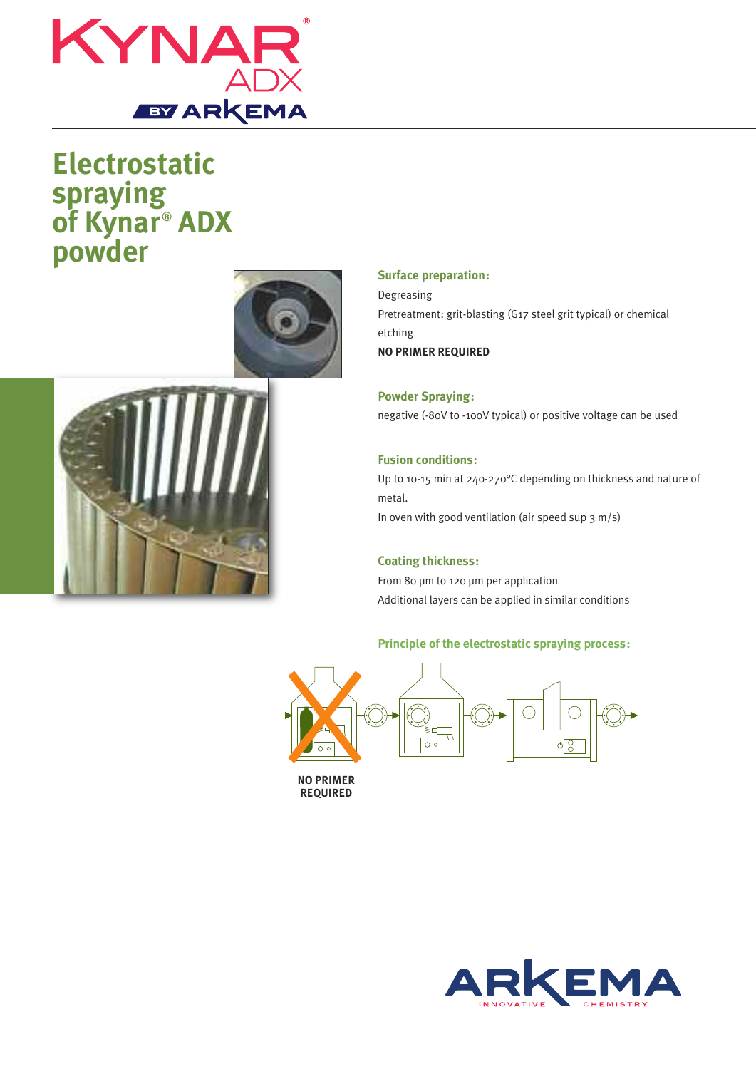

## **Electrostatic spraying of Kynar ® ADX powder**





## **Surface preparation:**

Degreasing Pretreatment: grit-blasting (G17 steel grit typical) or chemical etching **NO PRIMER REQUIRED**

**Powder Spraying:** negative (-80V to -100V typical) or positive voltage can be used

## **Fusion conditions:**

Up to 10-15 min at 240-270°C depending on thickness and nature of metal. In oven with good ventilation (air speed sup 3 m/s)

## **Coating thickness:**

From 80 µm to 120 µm per application Additional layers can be applied in similar conditions

## **Principle of the electrostatic spraying process:**



**NO PRIMER REQUIRED**

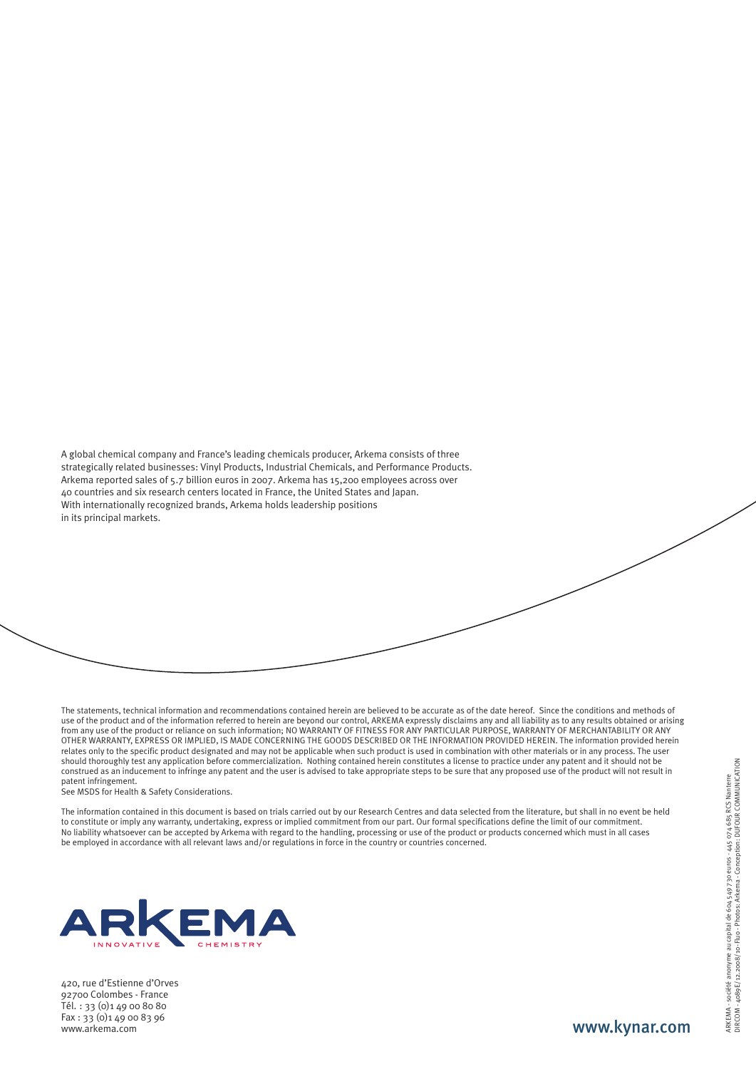A global chemical company and France's leading chemicals producer, Arkema consists of three strategically related businesses: Vinyl Products, Industrial Chemicals, and Performance Products. Arkema reported sales of 5.7 billion euros in 2007. Arkema has 15,200 employees across over 40 countries and six research centers located in France, the United States and Japan. With internationally recognized brands, Arkema holds leadership positions in its principal markets.

The statements, technical information and recommendations contained herein are believed to be accurate as of the date hereof. Since the conditions and methods of use of the product and of the information referred to herein are beyond our control, ARKEMA expressly disclaims any and all liability as to any results obtained or arising from any use of the product or reliance on such information; NO WARRANTY OF FITNESS FOR ANY PARTICULAR PURPOSE, WARRANTY OF MERCHANTABILITY OR ANY OTHER WARRANTY, EXPRESS OR IMPLIED, IS MADE CONCERNING THE GOODS DESCRIBED OR THE INFORMATION PROVIDED HEREIN. The information provided herein relates only to the specific product designated and may not be applicable when such product is used in combination with other materials or in any process. The user should thoroughly test any application before commercialization. Nothing contained herein constitutes a license to practice under any patent and it should not be construed as an inducement to infringe any patent and the user is advised to take appropriate steps to be sure that any proposed use of the product will not result in patent infringement.

See MSDS for Health & Safety Considerations.

The information contained in this document is based on trials carried out by our Research Centres and data selected from the literature, but shall in no event be held to constitute or imply any warranty, undertaking, express or implied commitment from our part. Our formal specifications define the limit of our commitment. No liability whatsoever can be accepted by Arkema with regard to the handling, processing or use of the product or products concerned which must in all cases be employed in accordance with all relevant laws and/or regulations in force in the country or countries concerned.



420, rue d'Estienne d'Orves 92700 Colombes - France Tél. : 33 (0)1 49 00 80 80 Fax : 33 (0)1 49 00 83 96 www.arkema.com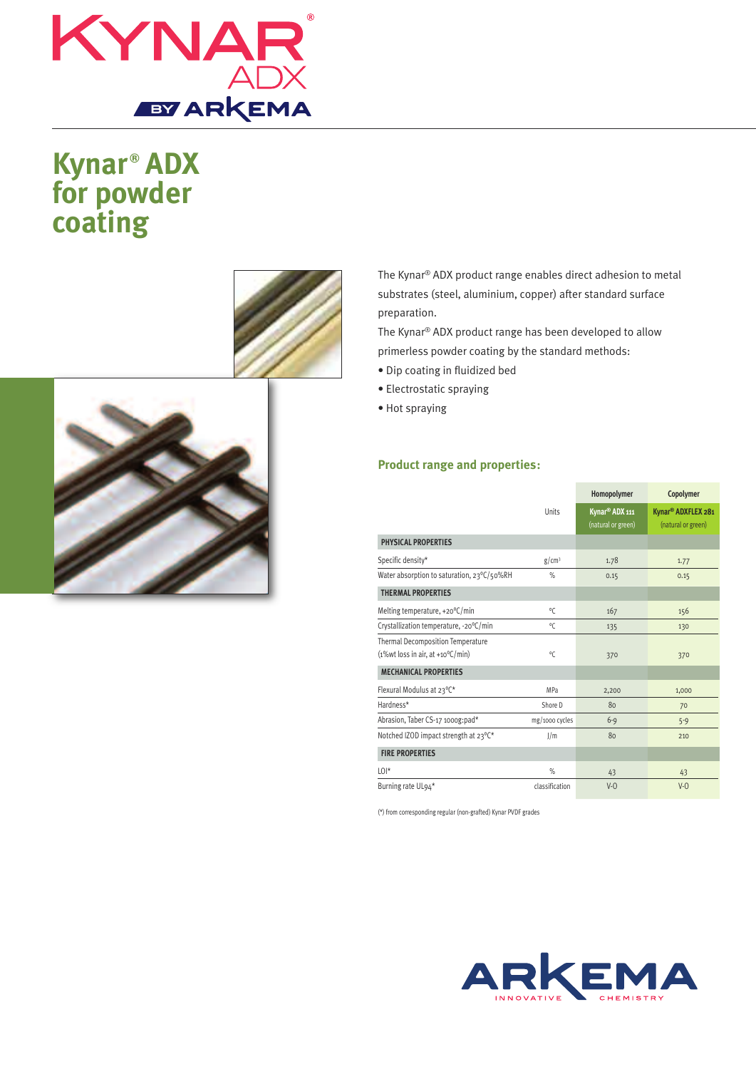

# **Kynar ® ADX for powder coating**





The Kynar® ADX product range enables direct adhesion to metal substrates (steel, aluminium, copper) after standard surface preparation.

The Kynar® ADX product range has been developed to allow primerless powder coating by the standard methods:

- Dip coating in fluidized bed
- Electrostatic spraying
- Hot spraying

### **Product range and properties:**

|                                                                                            | Units             | Homopolymer                                      | Copolymer                                            |
|--------------------------------------------------------------------------------------------|-------------------|--------------------------------------------------|------------------------------------------------------|
|                                                                                            |                   | Kynar <sup>®</sup> ADX 111<br>(natural or green) | Kynar <sup>®</sup> ADXFLEX 281<br>(natural or green) |
| PHYSICAL PROPERTIES                                                                        |                   |                                                  |                                                      |
| Specific density*                                                                          | g/cm <sup>3</sup> | 1.78                                             | 1.77                                                 |
| Water absorption to saturation, 23°C/50%RH                                                 | $\%$              | 0.15                                             | 0.15                                                 |
| <b>THERMAL PROPERTIES</b>                                                                  |                   |                                                  |                                                      |
| Melting temperature, +20°C/min                                                             | ٥C                | 167                                              | 156                                                  |
| Crystallization temperature, -20°C/min                                                     | $^{\circ}$ C      | 135                                              | 130                                                  |
| <b>Thermal Decomposition Temperature</b><br>$(1\%wt$ loss in air, at +10 $\rm ^{o}$ C/min) | $^{\circ}$ C      | 370                                              | 370                                                  |
| <b>MECHANICAL PROPERTIES</b>                                                               |                   |                                                  |                                                      |
| Flexural Modulus at 23°C*                                                                  | MPa               | 2,200                                            | 1,000                                                |
| Hardness*                                                                                  | Shore D           | 80                                               | 70                                                   |
| Abrasion, Taber CS-17 1000g:pad*                                                           | mg/1000 cycles    | $6-9$                                            | $5 - 9$                                              |
| Notched IZOD impact strength at 23°C*                                                      | J/m               | 80                                               | 210                                                  |
| <b>FIRE PROPERTIES</b>                                                                     |                   |                                                  |                                                      |
| $L()$ <sup>*</sup>                                                                         | $\%$              | 43                                               | 43                                                   |
| Burning rate UL94*                                                                         | classification    | $V-0$                                            | $V-0$                                                |

(\*) from corresponding regular (non-grafted) Kynar PVDF grades

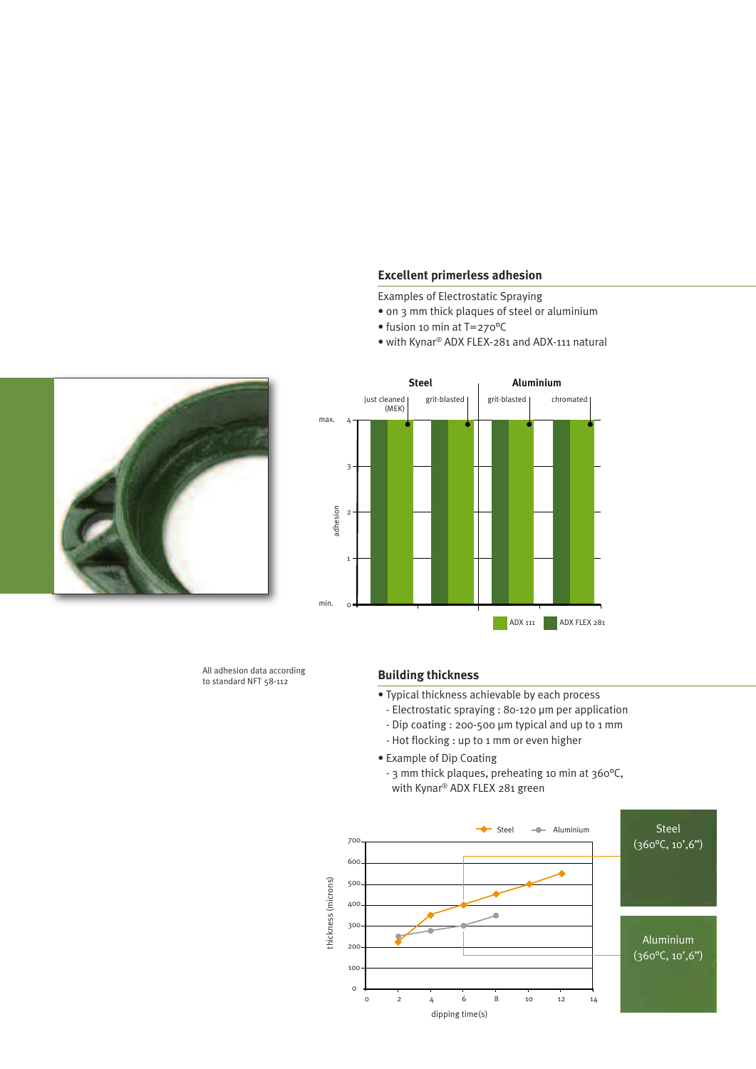#### **Excellent primerless adhesion**

Examples of Electrostatic Spraying

• on 3 mm thick plaques of steel or aluminium

**Steel Aluminium**

grit-blasted chromated

• fusion 10 min at T=270°C

grit-blasted

4max.

adhesion

3

just cleaned (MEK)

2

1

 $\overline{c}$ 

min.

• with Kynar® ADX FLEX-281 and ADX-111 natural



All adhesion data according to standard NFT 58-112

#### **Building thickness**

- Typical thickness achievable by each process
	- Electrostatic spraying : 80-120 µm per application - Dip coating : 200-500 µm typical and up to 1 mm

ADX 111 ADX FLEX 281

- Hot flocking : up to 1 mm or even higher
- Example of Dip Coating
	- 3 mm thick plaques, preheating 10 min at 360°C, with Kynar® ADX FLEX 281 green

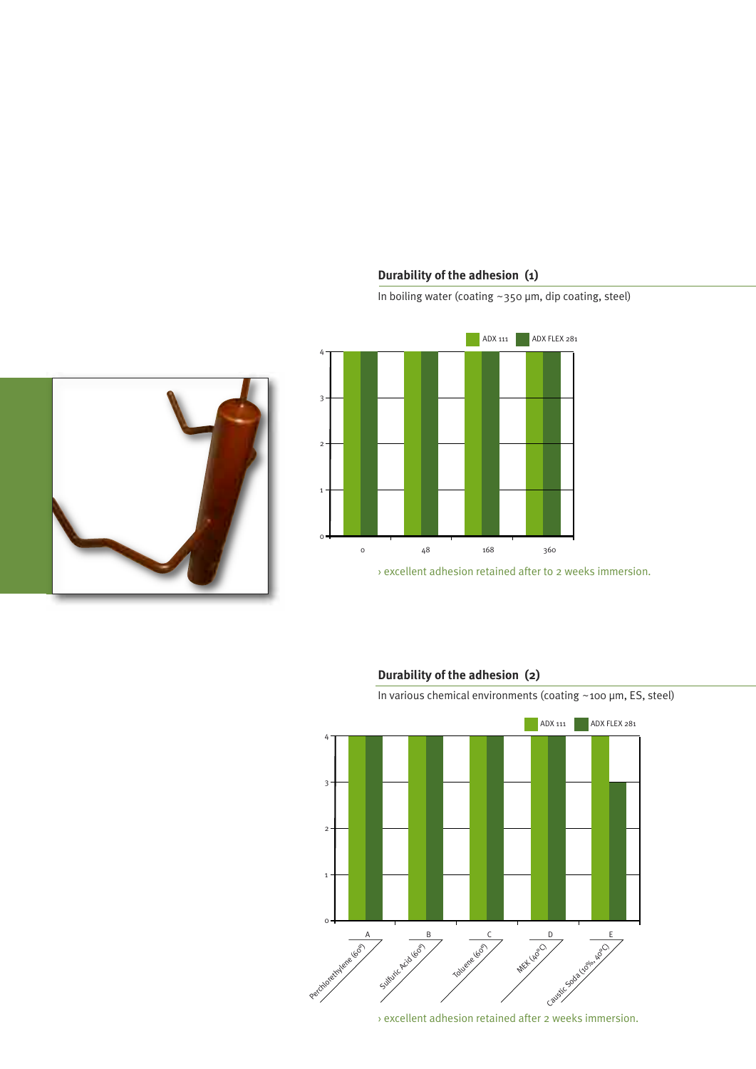## **Durability of the adhesion (1)**

In boiling water (coating ~350 µm, dip coating, steel)







### **Durability of the adhesion (2)**

In various chemical environments (coating ~100 µm, ES, steel)



› excellent adhesion retained after 2 weeks immersion.